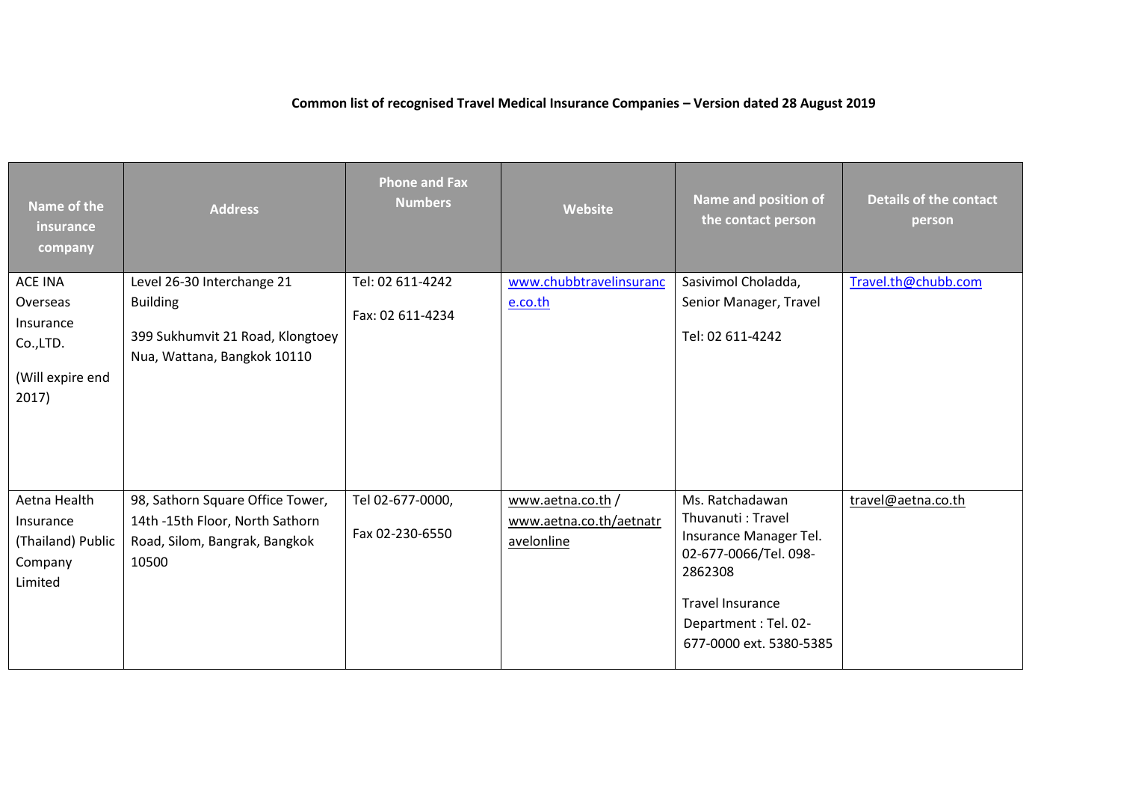## **Common list of recognised Travel Medical Insurance Companies – Version dated 28 August 2019**

| Name of the<br>insurance<br>company                                              | <b>Address</b>                                                                                                   | <b>Phone and Fax</b><br><b>Numbers</b> | Website                                                   | Name and position of<br>the contact person                                                                                                                                       | <b>Details of the contact</b><br>person |
|----------------------------------------------------------------------------------|------------------------------------------------------------------------------------------------------------------|----------------------------------------|-----------------------------------------------------------|----------------------------------------------------------------------------------------------------------------------------------------------------------------------------------|-----------------------------------------|
| <b>ACE INA</b><br>Overseas<br>Insurance<br>Co.,LTD.<br>(Will expire end<br>2017) | Level 26-30 Interchange 21<br><b>Building</b><br>399 Sukhumvit 21 Road, Klongtoey<br>Nua, Wattana, Bangkok 10110 | Tel: 02 611-4242<br>Fax: 02 611-4234   | www.chubbtravelinsuranc<br>e.co.th                        | Sasivimol Choladda,<br>Senior Manager, Travel<br>Tel: 02 611-4242                                                                                                                | Travel.th@chubb.com                     |
| Aetna Health<br>Insurance<br>(Thailand) Public<br>Company<br>Limited             | 98, Sathorn Square Office Tower,<br>14th -15th Floor, North Sathorn<br>Road, Silom, Bangrak, Bangkok<br>10500    | Tel 02-677-0000,<br>Fax 02-230-6550    | www.aetna.co.th/<br>www.aetna.co.th/aetnatr<br>avelonline | Ms. Ratchadawan<br>Thuvanuti: Travel<br>Insurance Manager Tel.<br>02-677-0066/Tel. 098-<br>2862308<br><b>Travel Insurance</b><br>Department: Tel. 02-<br>677-0000 ext. 5380-5385 | travel@aetna.co.th                      |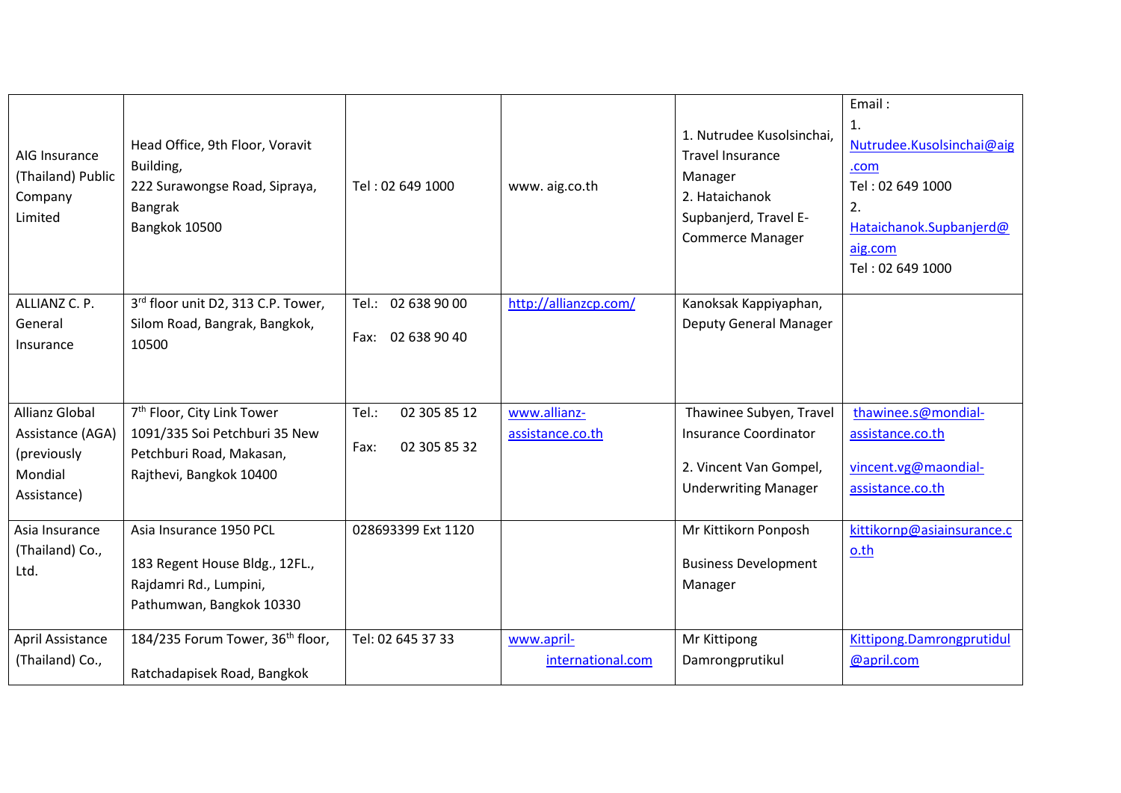| AIG Insurance<br>(Thailand) Public<br>Company<br>Limited                           | Head Office, 9th Floor, Voravit<br>Building,<br>222 Surawongse Road, Sipraya,<br>Bangrak<br>Bangkok 10500                      | Tel: 02 649 1000                              | www.aig.co.th                    | 1. Nutrudee Kusolsinchai,<br><b>Travel Insurance</b><br>Manager<br>2. Hataichanok<br>Supbanjerd, Travel E-<br><b>Commerce Manager</b> | Email:<br>1.<br>Nutrudee.Kusolsinchai@aig<br>.com<br>Tel: 02 649 1000<br>2.<br>Hataichanok.Supbanjerd@<br>aig.com<br>Tel: 02 649 1000 |
|------------------------------------------------------------------------------------|--------------------------------------------------------------------------------------------------------------------------------|-----------------------------------------------|----------------------------------|---------------------------------------------------------------------------------------------------------------------------------------|---------------------------------------------------------------------------------------------------------------------------------------|
| ALLIANZ C. P.<br>General<br>Insurance                                              | 3rd floor unit D2, 313 C.P. Tower,<br>Silom Road, Bangrak, Bangkok,<br>10500                                                   | Tel.: 02 638 90 00<br>02 638 90 40<br>Fax:    | http://allianzcp.com/            | Kanoksak Kappiyaphan,<br><b>Deputy General Manager</b>                                                                                |                                                                                                                                       |
| <b>Allianz Global</b><br>Assistance (AGA)<br>(previously<br>Mondial<br>Assistance) | 7 <sup>th</sup> Floor, City Link Tower<br>1091/335 Soi Petchburi 35 New<br>Petchburi Road, Makasan,<br>Rajthevi, Bangkok 10400 | Tel.:<br>02 305 85 12<br>02 305 85 32<br>Fax: | www.allianz-<br>assistance.co.th | Thawinee Subyen, Travel<br>Insurance Coordinator<br>2. Vincent Van Gompel,<br><b>Underwriting Manager</b>                             | thawinee.s@mondial-<br>assistance.co.th<br>vincent.vg@maondial-<br>assistance.co.th                                                   |
| Asia Insurance<br>(Thailand) Co.,<br>Ltd.                                          | Asia Insurance 1950 PCL<br>183 Regent House Bldg., 12FL.,<br>Rajdamri Rd., Lumpini,<br>Pathumwan, Bangkok 10330                | 028693399 Ext 1120                            |                                  | Mr Kittikorn Ponposh<br><b>Business Development</b><br>Manager                                                                        | kittikornp@asiainsurance.c<br>$0.$ th                                                                                                 |
| April Assistance<br>(Thailand) Co.,                                                | 184/235 Forum Tower, 36 <sup>th</sup> floor,<br>Ratchadapisek Road, Bangkok                                                    | Tel: 02 645 37 33                             | www.april-<br>international.com  | Mr Kittipong<br>Damrongprutikul                                                                                                       | Kittipong.Damrongprutidul<br>@april.com                                                                                               |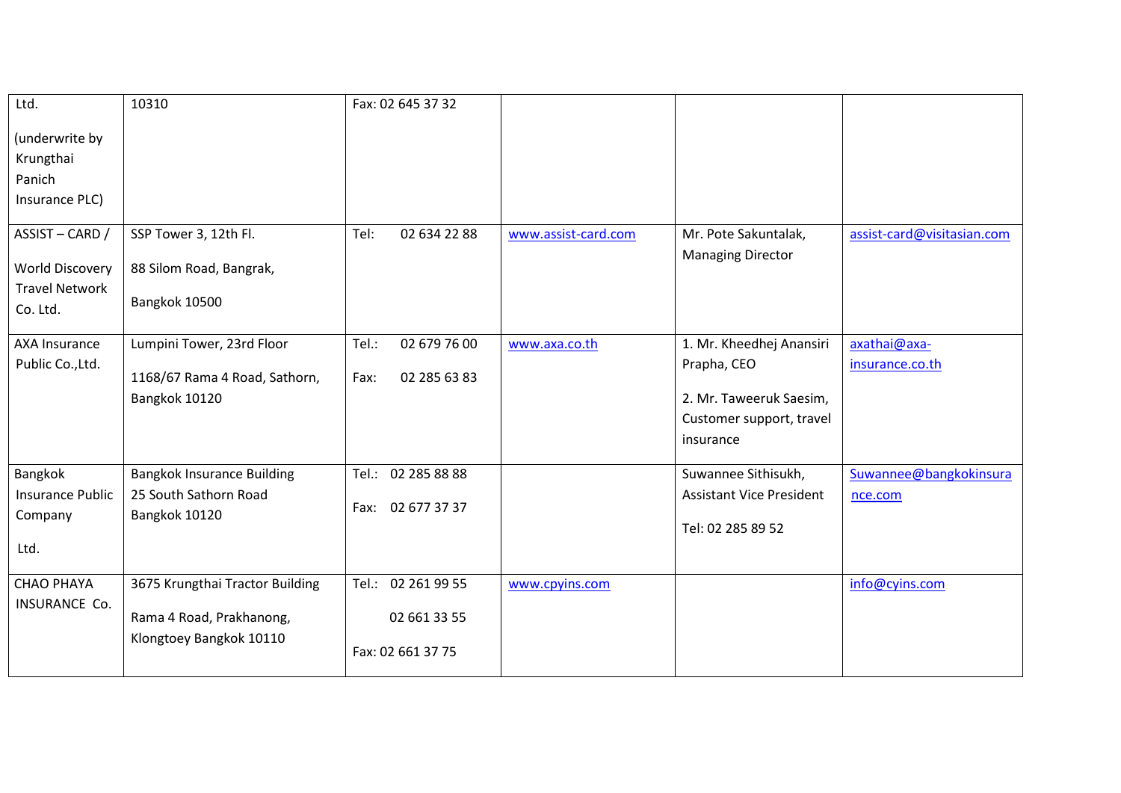| Ltd.                                                                         | 10310                                                                                  | Fax: 02 645 37 32                                       |                     |                                                                                                             |                                   |
|------------------------------------------------------------------------------|----------------------------------------------------------------------------------------|---------------------------------------------------------|---------------------|-------------------------------------------------------------------------------------------------------------|-----------------------------------|
| (underwrite by<br>Krungthai<br>Panich<br>Insurance PLC)                      |                                                                                        |                                                         |                     |                                                                                                             |                                   |
| ASSIST-CARD /<br><b>World Discovery</b><br><b>Travel Network</b><br>Co. Ltd. | SSP Tower 3, 12th Fl.<br>88 Silom Road, Bangrak,<br>Bangkok 10500                      | Tel:<br>02 634 22 88                                    | www.assist-card.com | Mr. Pote Sakuntalak,<br><b>Managing Director</b>                                                            | assist-card@visitasian.com        |
| <b>AXA Insurance</b><br>Public Co., Ltd.                                     | Lumpini Tower, 23rd Floor<br>1168/67 Rama 4 Road, Sathorn,<br>Bangkok 10120            | Tel.:<br>02 679 76 00<br>02 285 63 83<br>Fax:           | www.axa.co.th       | 1. Mr. Kheedhej Anansiri<br>Prapha, CEO<br>2. Mr. Taweeruk Saesim,<br>Customer support, travel<br>insurance | axathai@axa-<br>insurance.co.th   |
| Bangkok<br><b>Insurance Public</b><br>Company<br>Ltd.                        | <b>Bangkok Insurance Building</b><br>25 South Sathorn Road<br>Bangkok 10120            | Tel.: 02 285 88 88<br>02 677 37 37<br>Fax:              |                     | Suwannee Sithisukh,<br><b>Assistant Vice President</b><br>Tel: 02 285 89 52                                 | Suwannee@bangkokinsura<br>nce.com |
| <b>CHAO PHAYA</b><br>INSURANCE Co.                                           | 3675 Krungthai Tractor Building<br>Rama 4 Road, Prakhanong,<br>Klongtoey Bangkok 10110 | Tel.: 02 261 99 55<br>02 661 33 55<br>Fax: 02 661 37 75 | www.cpyins.com      |                                                                                                             | info@cyins.com                    |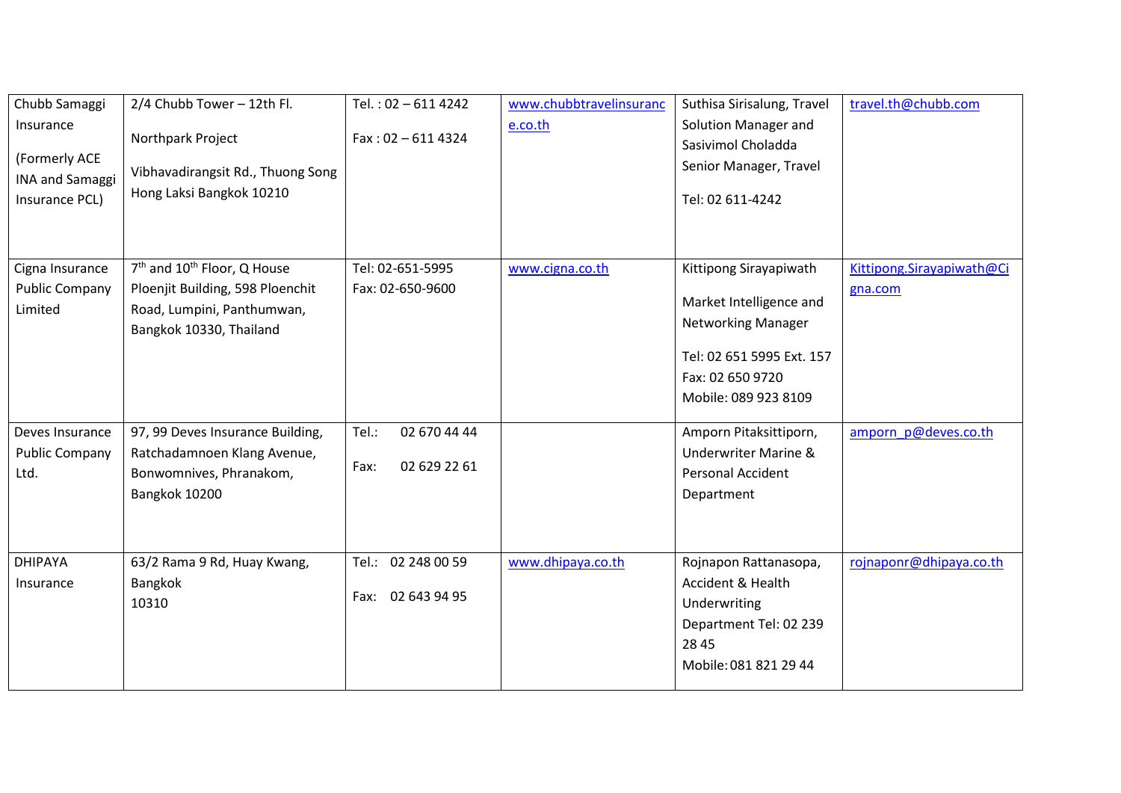| Chubb Samaggi<br>Insurance<br>(Formerly ACE<br><b>INA and Samaggi</b><br>Insurance PCL) | 2/4 Chubb Tower - 12th Fl.<br>Northpark Project<br>Vibhavadirangsit Rd., Thuong Song<br>Hong Laksi Bangkok 10210                                 | Tel.: 02-611 4242<br>$Fax: 02 - 6114324$      | www.chubbtravelinsuranc<br>e.co.th | Suthisa Sirisalung, Travel<br>Solution Manager and<br>Sasivimol Choladda<br>Senior Manager, Travel<br>Tel: 02 611-4242                                  | travel.th@chubb.com                  |
|-----------------------------------------------------------------------------------------|--------------------------------------------------------------------------------------------------------------------------------------------------|-----------------------------------------------|------------------------------------|---------------------------------------------------------------------------------------------------------------------------------------------------------|--------------------------------------|
| Cigna Insurance<br><b>Public Company</b><br>Limited                                     | 7 <sup>th</sup> and 10 <sup>th</sup> Floor, Q House<br>Ploenjit Building, 598 Ploenchit<br>Road, Lumpini, Panthumwan,<br>Bangkok 10330, Thailand | Tel: 02-651-5995<br>Fax: 02-650-9600          | www.cigna.co.th                    | Kittipong Sirayapiwath<br>Market Intelligence and<br><b>Networking Manager</b><br>Tel: 02 651 5995 Ext. 157<br>Fax: 02 650 9720<br>Mobile: 089 923 8109 | Kittipong.Sirayapiwath@Ci<br>gna.com |
| Deves Insurance<br><b>Public Company</b><br>Ltd.                                        | 97, 99 Deves Insurance Building,<br>Ratchadamnoen Klang Avenue,<br>Bonwomnives, Phranakom,<br>Bangkok 10200                                      | Tel.:<br>02 670 44 44<br>02 629 22 61<br>Fax: |                                    | Amporn Pitaksittiporn,<br><b>Underwriter Marine &amp;</b><br>Personal Accident<br>Department                                                            | amporn p@deves.co.th                 |
| <b>DHIPAYA</b><br>Insurance                                                             | 63/2 Rama 9 Rd, Huay Kwang,<br>Bangkok<br>10310                                                                                                  | Tel.: 02 248 00 59<br>Fax: 02 643 94 95       | www.dhipaya.co.th                  | Rojnapon Rattanasopa,<br><b>Accident &amp; Health</b><br>Underwriting<br>Department Tel: 02 239<br>28 45<br>Mobile: 081 821 29 44                       | rojnaponr@dhipaya.co.th              |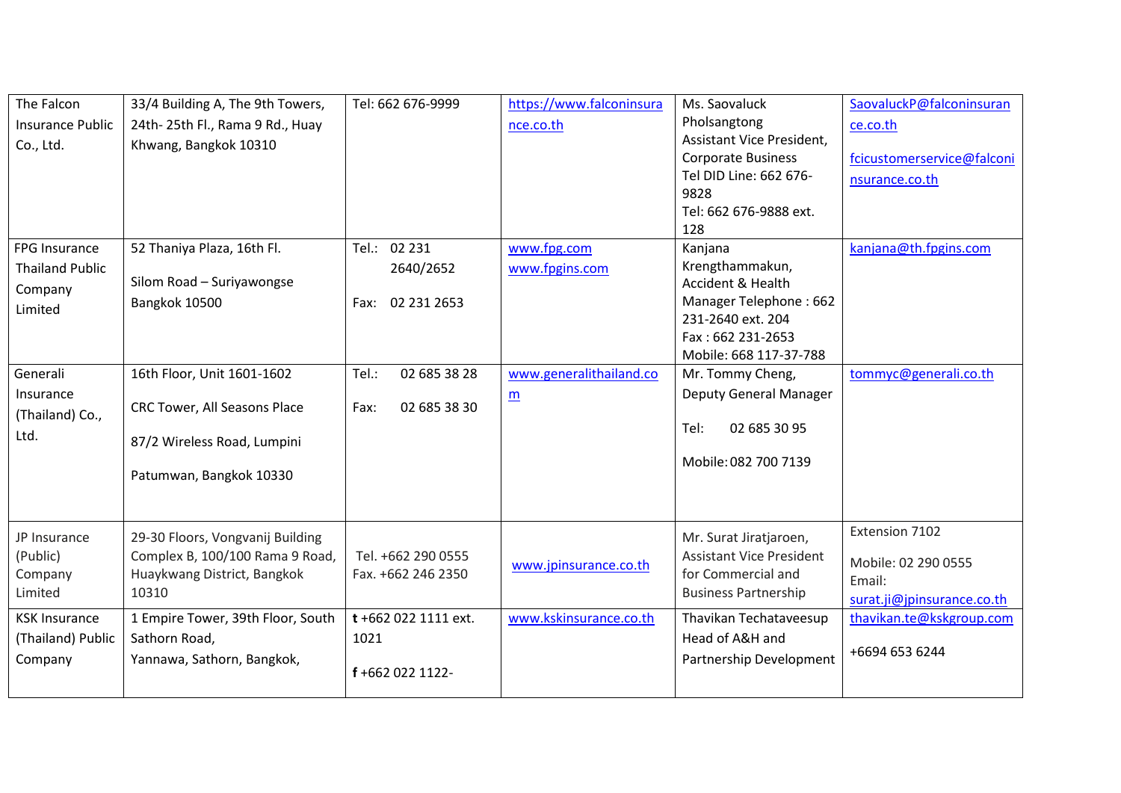| The Falcon              | 33/4 Building A, The 9th Towers,    | Tel: 662 676-9999     | https://www.falconinsura | Ms. Saovaluck                   | SaovaluckP@falconinsuran   |
|-------------------------|-------------------------------------|-----------------------|--------------------------|---------------------------------|----------------------------|
| <b>Insurance Public</b> | 24th-25th Fl., Rama 9 Rd., Huay     |                       | nce.co.th                | Pholsangtong                    | ce.co.th                   |
| Co., Ltd.               | Khwang, Bangkok 10310               |                       |                          | Assistant Vice President,       |                            |
|                         |                                     |                       |                          | <b>Corporate Business</b>       | fcicustomerservice@falconi |
|                         |                                     |                       |                          | Tel DID Line: 662 676-          | nsurance.co.th             |
|                         |                                     |                       |                          | 9828<br>Tel: 662 676-9888 ext.  |                            |
|                         |                                     |                       |                          | 128                             |                            |
| FPG Insurance           | 52 Thaniya Plaza, 16th Fl.          | Tel.: 02 231          | www.fpg.com              | Kanjana                         | kanjana@th.fpgins.com      |
| <b>Thailand Public</b>  |                                     |                       |                          | Krengthammakun,                 |                            |
|                         | Silom Road - Suriyawongse           | 2640/2652             | www.fpgins.com           | Accident & Health               |                            |
| Company                 | Bangkok 10500                       | 02 231 2653<br>Fax:   |                          | Manager Telephone: 662          |                            |
| Limited                 |                                     |                       |                          | 231-2640 ext. 204               |                            |
|                         |                                     |                       |                          | Fax: 662 231-2653               |                            |
|                         |                                     |                       |                          | Mobile: 668 117-37-788          |                            |
| Generali                | 16th Floor, Unit 1601-1602          | 02 685 38 28<br>Tel.: | www.generalithailand.co  | Mr. Tommy Cheng,                | tommyc@generali.co.th      |
| Insurance               |                                     |                       | $\underline{m}$          | Deputy General Manager          |                            |
| (Thailand) Co.,         | <b>CRC Tower, All Seasons Place</b> | 02 685 38 30<br>Fax:  |                          |                                 |                            |
| Ltd.                    |                                     |                       |                          | 02 685 30 95<br>Tel:            |                            |
|                         | 87/2 Wireless Road, Lumpini         |                       |                          |                                 |                            |
|                         |                                     |                       |                          | Mobile: 082 700 7139            |                            |
|                         | Patumwan, Bangkok 10330             |                       |                          |                                 |                            |
|                         |                                     |                       |                          |                                 |                            |
|                         |                                     |                       |                          |                                 | Extension 7102             |
| JP Insurance            | 29-30 Floors, Vongvanij Building    |                       |                          | Mr. Surat Jiratjaroen,          |                            |
| (Public)                | Complex B, 100/100 Rama 9 Road,     | Tel. +662 290 0555    | www.jpinsurance.co.th    | <b>Assistant Vice President</b> | Mobile: 02 290 0555        |
| Company                 | Huaykwang District, Bangkok         | Fax. +662 246 2350    |                          | for Commercial and              | Email:                     |
| Limited                 | 10310                               |                       |                          | <b>Business Partnership</b>     | surat.ji@jpinsurance.co.th |
| <b>KSK Insurance</b>    | 1 Empire Tower, 39th Floor, South   | t+662 022 1111 ext.   | www.kskinsurance.co.th   | Thavikan Techataveesup          | thavikan.te@kskgroup.com   |
| (Thailand) Public       | Sathorn Road,                       | 1021                  |                          | Head of A&H and                 |                            |
| Company                 | Yannawa, Sathorn, Bangkok,          |                       |                          | Partnership Development         | +6694 653 6244             |
|                         |                                     | f+662 022 1122-       |                          |                                 |                            |
|                         |                                     |                       |                          |                                 |                            |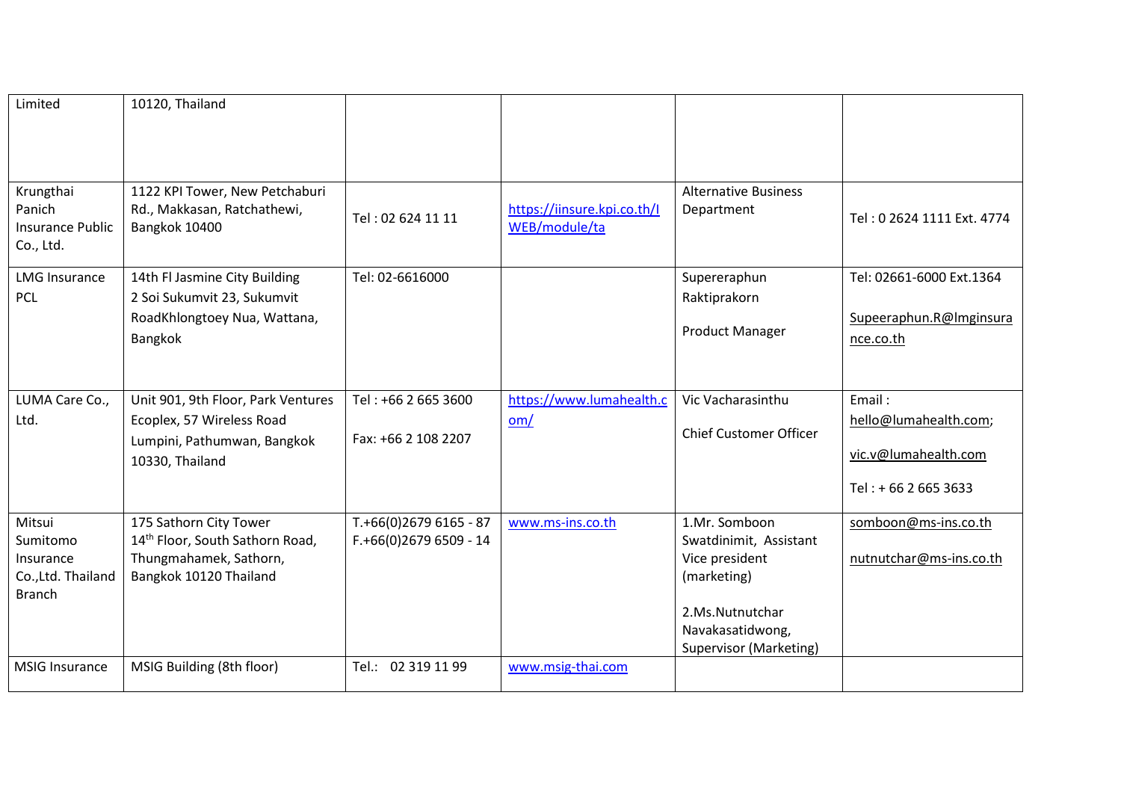| Limited                                                                | 10120, Thailand                                                                                                   |                                                 |                                              |                                                                                                                                           |                                                                                 |
|------------------------------------------------------------------------|-------------------------------------------------------------------------------------------------------------------|-------------------------------------------------|----------------------------------------------|-------------------------------------------------------------------------------------------------------------------------------------------|---------------------------------------------------------------------------------|
| Krungthai<br>Panich<br><b>Insurance Public</b><br>Co., Ltd.            | 1122 KPI Tower, New Petchaburi<br>Rd., Makkasan, Ratchathewi,<br>Bangkok 10400                                    | Tel: 02 624 11 11                               | https://iinsure.kpi.co.th/I<br>WEB/module/ta | <b>Alternative Business</b><br>Department                                                                                                 | Tel: 0 2624 1111 Ext. 4774                                                      |
| <b>LMG Insurance</b><br><b>PCL</b>                                     | 14th Fl Jasmine City Building<br>2 Soi Sukumvit 23, Sukumvit                                                      | Tel: 02-6616000                                 |                                              | Supereraphun<br>Raktiprakorn                                                                                                              | Tel: 02661-6000 Ext.1364                                                        |
|                                                                        | RoadKhlongtoey Nua, Wattana,<br>Bangkok                                                                           |                                                 |                                              | <b>Product Manager</b>                                                                                                                    | Supeeraphun.R@Imginsura<br>nce.co.th                                            |
| LUMA Care Co.,<br>Ltd.                                                 | Unit 901, 9th Floor, Park Ventures<br>Ecoplex, 57 Wireless Road<br>Lumpini, Pathumwan, Bangkok<br>10330, Thailand | Tel: +66 2 665 3600<br>Fax: +66 2 108 2207      | https://www.lumahealth.c<br>om/              | Vic Vacharasinthu<br><b>Chief Customer Officer</b>                                                                                        | Email:<br>hello@lumahealth.com;<br>vic.v@lumahealth.com<br>Tel: + 66 2 665 3633 |
| Mitsui<br>Sumitomo<br>Insurance<br>Co., Ltd. Thailand<br><b>Branch</b> | 175 Sathorn City Tower<br>14th Floor, South Sathorn Road,<br>Thungmahamek, Sathorn,<br>Bangkok 10120 Thailand     | T.+66(0)2679 6165 - 87<br>$F.+66(0)26796509-14$ | www.ms-ins.co.th                             | 1.Mr. Somboon<br>Swatdinimit, Assistant<br>Vice president<br>(marketing)<br>2.Ms.Nutnutchar<br>Navakasatidwong,<br>Supervisor (Marketing) | somboon@ms-ins.co.th<br>nutnutchar@ms-ins.co.th                                 |
| <b>MSIG Insurance</b>                                                  | MSIG Building (8th floor)                                                                                         | Tel.: 02 319 11 99                              | www.msig-thai.com                            |                                                                                                                                           |                                                                                 |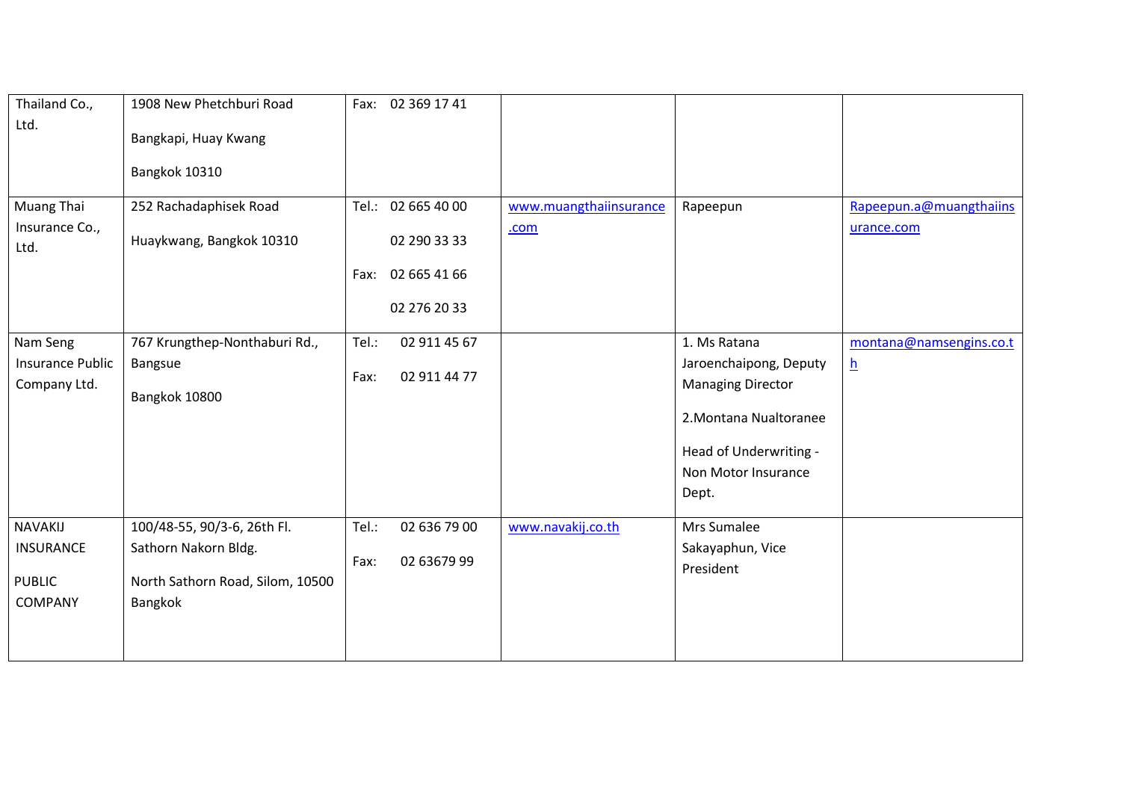| Thailand Co.,     | 1908 New Phetchburi Road         | Fax: 02 369 17 41     |                        |                                               |                         |
|-------------------|----------------------------------|-----------------------|------------------------|-----------------------------------------------|-------------------------|
| Ltd.              | Bangkapi, Huay Kwang             |                       |                        |                                               |                         |
|                   |                                  |                       |                        |                                               |                         |
|                   | Bangkok 10310                    |                       |                        |                                               |                         |
| <b>Muang Thai</b> | 252 Rachadaphisek Road           | Tel.: 02 665 40 00    | www.muangthaiinsurance | Rapeepun                                      | Rapeepun.a@muangthaiins |
| Insurance Co.,    |                                  |                       | .com                   |                                               | urance.com              |
| Ltd.              | Huaykwang, Bangkok 10310         | 02 290 33 33          |                        |                                               |                         |
|                   |                                  | 02 665 41 66<br>Fax:  |                        |                                               |                         |
|                   |                                  | 02 276 20 33          |                        |                                               |                         |
|                   |                                  |                       |                        |                                               |                         |
| Nam Seng          | 767 Krungthep-Nonthaburi Rd.,    | Tel.:<br>02 911 45 67 |                        | 1. Ms Ratana                                  | montana@namsengins.co.t |
| Insurance Public  | Bangsue                          | 02 911 44 77<br>Fax:  |                        | Jaroenchaipong, Deputy                        | $\overline{\mathbf{h}}$ |
| Company Ltd.      | Bangkok 10800                    |                       |                        | <b>Managing Director</b>                      |                         |
|                   |                                  |                       |                        | 2. Montana Nualtoranee                        |                         |
|                   |                                  |                       |                        |                                               |                         |
|                   |                                  |                       |                        | Head of Underwriting -<br>Non Motor Insurance |                         |
|                   |                                  |                       |                        | Dept.                                         |                         |
|                   |                                  |                       |                        |                                               |                         |
| NAVAKIJ           | 100/48-55, 90/3-6, 26th Fl.      | Tel.:<br>02 636 79 00 | www.navakij.co.th      | Mrs Sumalee                                   |                         |
| <b>INSURANCE</b>  | Sathorn Nakorn Bldg.             | 02 63679 99<br>Fax:   |                        | Sakayaphun, Vice                              |                         |
| <b>PUBLIC</b>     | North Sathorn Road, Silom, 10500 |                       |                        | President                                     |                         |
| COMPANY           | Bangkok                          |                       |                        |                                               |                         |
|                   |                                  |                       |                        |                                               |                         |
|                   |                                  |                       |                        |                                               |                         |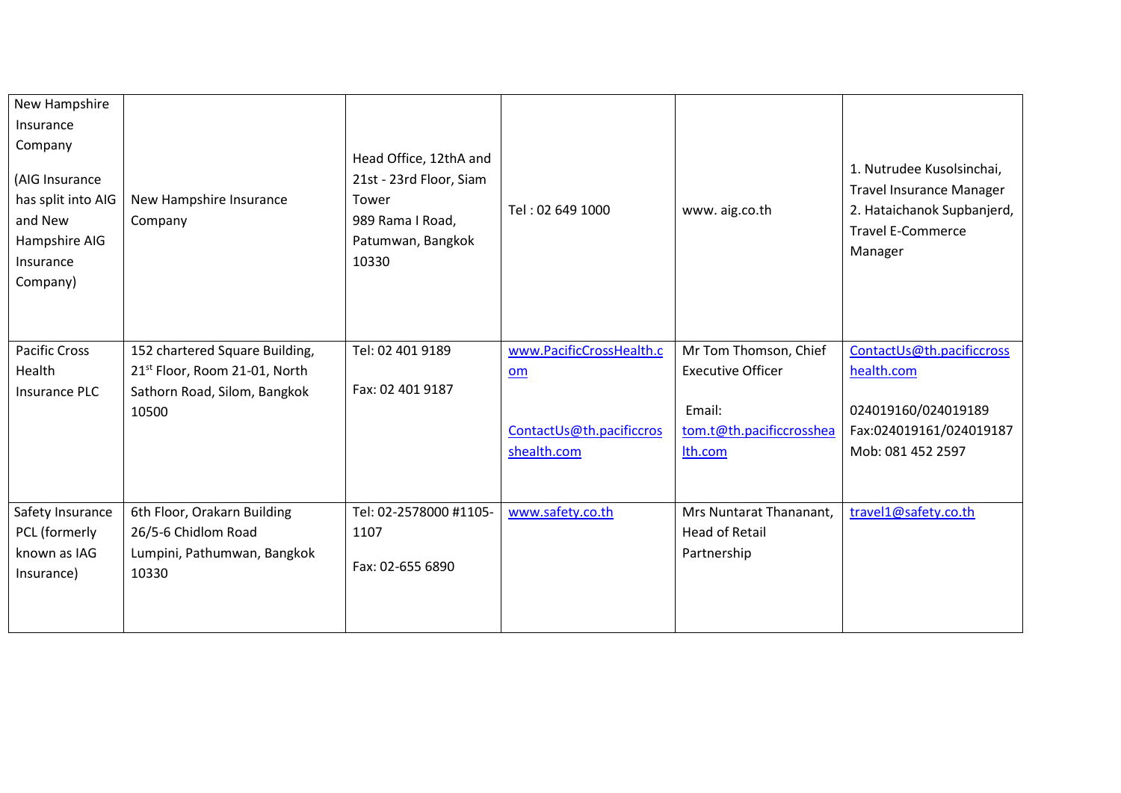| New Hampshire<br>Insurance<br>Company<br>(AIG Insurance<br>has split into AIG<br>and New<br>Hampshire AIG<br>Insurance<br>Company) | New Hampshire Insurance<br>Company                                        | Head Office, 12thA and<br>21st - 23rd Floor, Siam<br>Tower<br>989 Rama I Road,<br>Patumwan, Bangkok<br>10330 | Tel: 02 649 1000         | www.aig.co.th            | 1. Nutrudee Kusolsinchai,<br><b>Travel Insurance Manager</b><br>2. Hataichanok Supbanjerd,<br><b>Travel E-Commerce</b><br>Manager |
|------------------------------------------------------------------------------------------------------------------------------------|---------------------------------------------------------------------------|--------------------------------------------------------------------------------------------------------------|--------------------------|--------------------------|-----------------------------------------------------------------------------------------------------------------------------------|
| <b>Pacific Cross</b>                                                                                                               | 152 chartered Square Building,                                            | Tel: 02 401 9189                                                                                             | www.PacificCrossHealth.c | Mr Tom Thomson, Chief    | ContactUs@th.pacificcross                                                                                                         |
| Health<br><b>Insurance PLC</b>                                                                                                     | 21 <sup>st</sup> Floor, Room 21-01, North<br>Sathorn Road, Silom, Bangkok | Fax: 02 401 9187                                                                                             | om                       | <b>Executive Officer</b> | health.com                                                                                                                        |
|                                                                                                                                    | 10500                                                                     |                                                                                                              |                          | Email:                   | 024019160/024019189                                                                                                               |
|                                                                                                                                    |                                                                           |                                                                                                              | ContactUs@th.pacificcros | tom.t@th.pacificcrosshea | Fax:024019161/024019187                                                                                                           |
|                                                                                                                                    |                                                                           |                                                                                                              | shealth.com              | Ith.com                  | Mob: 081 452 2597                                                                                                                 |
|                                                                                                                                    |                                                                           |                                                                                                              |                          |                          |                                                                                                                                   |
| Safety Insurance                                                                                                                   | 6th Floor, Orakarn Building                                               | Tel: 02-2578000 #1105-                                                                                       | www.safety.co.th         | Mrs Nuntarat Thananant,  | travel1@safety.co.th                                                                                                              |
| PCL (formerly                                                                                                                      | 26/5-6 Chidlom Road                                                       | 1107                                                                                                         |                          | <b>Head of Retail</b>    |                                                                                                                                   |
| known as IAG                                                                                                                       | Lumpini, Pathumwan, Bangkok                                               | Fax: 02-655 6890                                                                                             |                          | Partnership              |                                                                                                                                   |
| Insurance)                                                                                                                         | 10330                                                                     |                                                                                                              |                          |                          |                                                                                                                                   |
|                                                                                                                                    |                                                                           |                                                                                                              |                          |                          |                                                                                                                                   |
|                                                                                                                                    |                                                                           |                                                                                                              |                          |                          |                                                                                                                                   |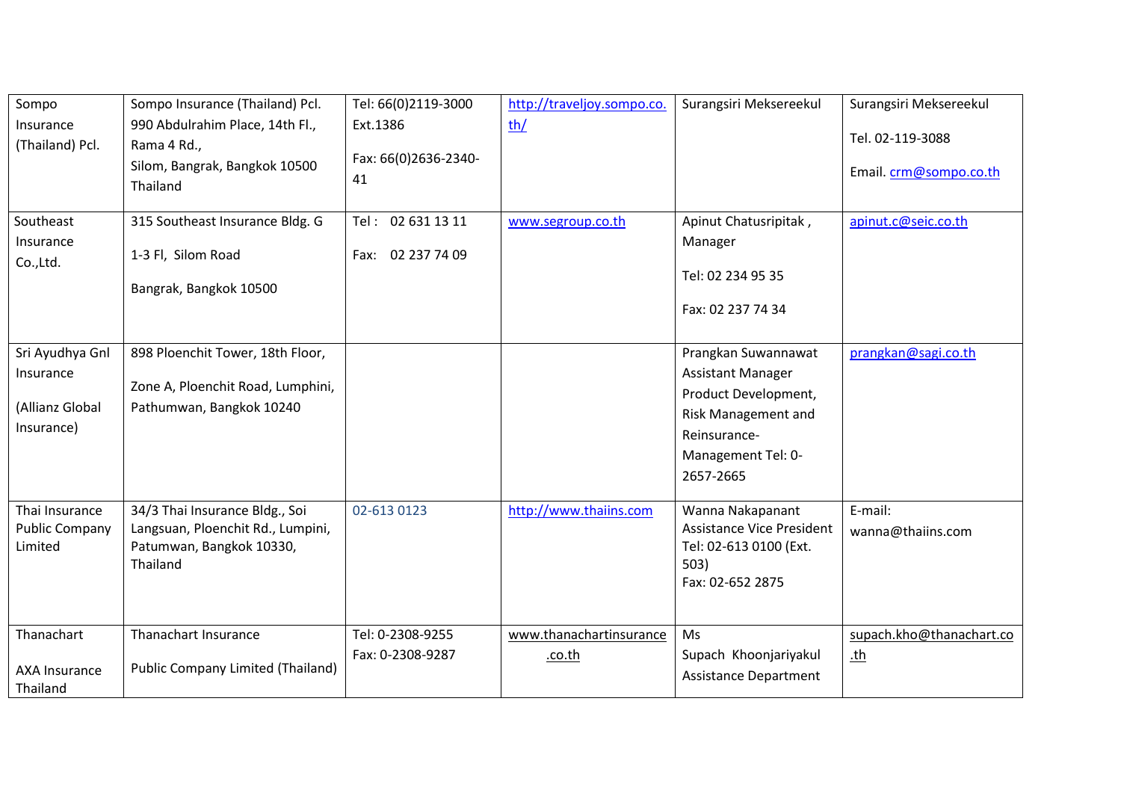| Sompo<br>Insurance<br>(Thailand) Pcl.<br>Southeast<br>Insurance<br>Co.,Ltd. | Sompo Insurance (Thailand) Pcl.<br>990 Abdulrahim Place, 14th Fl.,<br>Rama 4 Rd.,<br>Silom, Bangrak, Bangkok 10500<br>Thailand<br>315 Southeast Insurance Bldg. G<br>1-3 Fl, Silom Road<br>Bangrak, Bangkok 10500 | Tel: 66(0)2119-3000<br>Ext.1386<br>Fax: 66(0)2636-2340-<br>41<br>Tel: 02 631 13 11<br>02 237 74 09<br>Fax: | http://traveljoy.sompo.co.<br>th/<br>www.segroup.co.th | Surangsiri Meksereekul<br>Apinut Chatusripitak,<br>Manager<br>Tel: 02 234 95 35<br>Fax: 02 237 74 34                                              | Surangsiri Meksereekul<br>Tel. 02-119-3088<br>Email. crm@sompo.co.th<br>apinut.c@seic.co.th |
|-----------------------------------------------------------------------------|-------------------------------------------------------------------------------------------------------------------------------------------------------------------------------------------------------------------|------------------------------------------------------------------------------------------------------------|--------------------------------------------------------|---------------------------------------------------------------------------------------------------------------------------------------------------|---------------------------------------------------------------------------------------------|
| Sri Ayudhya Gnl<br>Insurance<br>(Allianz Global<br>Insurance)               | 898 Ploenchit Tower, 18th Floor,<br>Zone A, Ploenchit Road, Lumphini,<br>Pathumwan, Bangkok 10240                                                                                                                 |                                                                                                            |                                                        | Prangkan Suwannawat<br><b>Assistant Manager</b><br>Product Development,<br>Risk Management and<br>Reinsurance-<br>Management Tel: 0-<br>2657-2665 | prangkan@sagi.co.th                                                                         |
| Thai Insurance<br><b>Public Company</b><br>Limited                          | 34/3 Thai Insurance Bldg., Soi<br>Langsuan, Ploenchit Rd., Lumpini,<br>Patumwan, Bangkok 10330,<br>Thailand                                                                                                       | 02-613 0123                                                                                                | http://www.thaiins.com                                 | Wanna Nakapanant<br><b>Assistance Vice President</b><br>Tel: 02-613 0100 (Ext.<br>503)<br>Fax: 02-652 2875                                        | E-mail:<br>wanna@thaiins.com                                                                |
| Thanachart<br><b>AXA Insurance</b><br>Thailand                              | Thanachart Insurance<br><b>Public Company Limited (Thailand)</b>                                                                                                                                                  | Tel: 0-2308-9255<br>Fax: 0-2308-9287                                                                       | www.thanachartinsurance<br>.co.th                      | <b>Ms</b><br>Supach Khoonjariyakul<br><b>Assistance Department</b>                                                                                | supach.kho@thanachart.co<br><u>th</u>                                                       |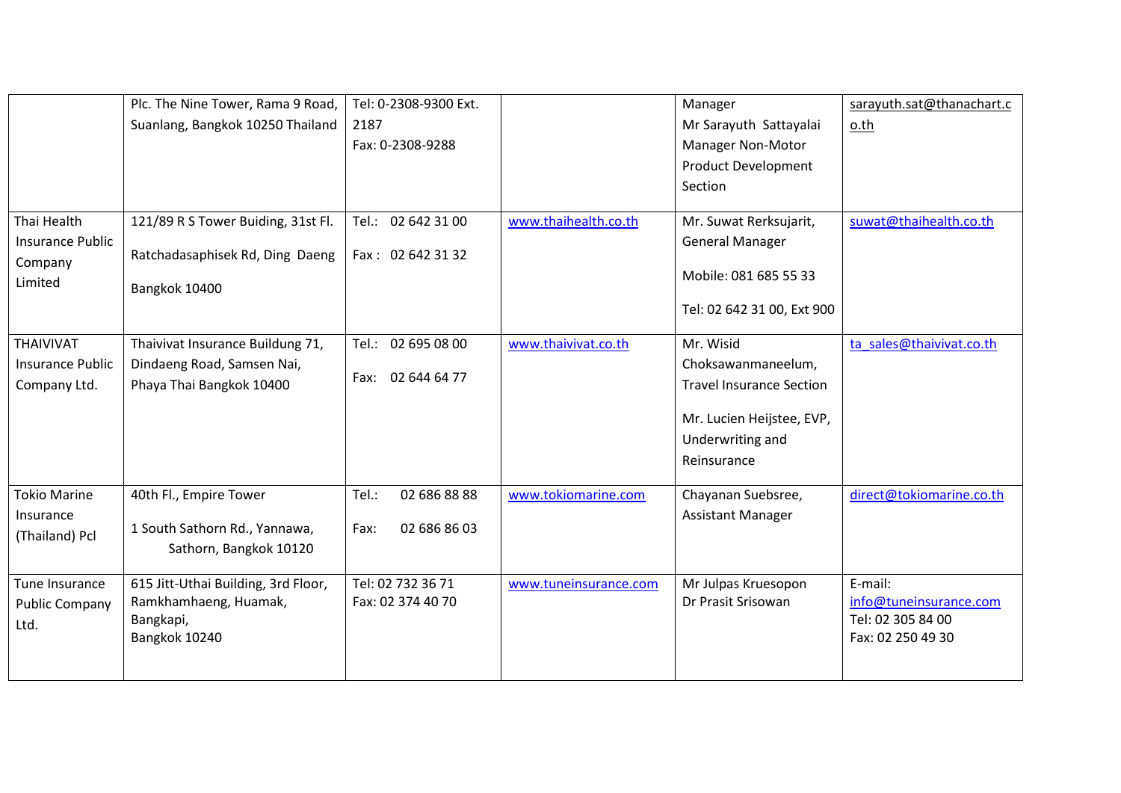|                                                              | Plc. The Nine Tower, Rama 9 Road,<br>Suanlang, Bangkok 10250 Thailand                      | Tel: 0-2308-9300 Ext.<br>2187<br>Fax: 0-2308-9288 |                       | Manager<br>Mr Sarayuth Sattayalai<br>Manager Non-Motor<br><b>Product Development</b>                                                                             | sarayuth.sat@thanachart.c<br>o.th                                           |
|--------------------------------------------------------------|--------------------------------------------------------------------------------------------|---------------------------------------------------|-----------------------|------------------------------------------------------------------------------------------------------------------------------------------------------------------|-----------------------------------------------------------------------------|
| Thai Health<br><b>Insurance Public</b><br>Company<br>Limited | 121/89 R S Tower Buiding, 31st Fl.<br>Ratchadasaphisek Rd, Ding Daeng<br>Bangkok 10400     | Tel.: 02 642 31 00<br>Fax: 02 642 31 32           | www.thaihealth.co.th  | Section<br>Mr. Suwat Rerksujarit,<br><b>General Manager</b><br>Mobile: 081 685 55 33                                                                             | suwat@thaihealth.co.th                                                      |
| THAIVIVAT<br><b>Insurance Public</b><br>Company Ltd.         | Thaivivat Insurance Buildung 71,<br>Dindaeng Road, Samsen Nai,<br>Phaya Thai Bangkok 10400 | Tel.: 02 695 08 00<br>Fax: 02 644 64 77           | www.thaivivat.co.th   | Tel: 02 642 31 00, Ext 900<br>Mr. Wisid<br>Choksawanmaneelum,<br><b>Travel Insurance Section</b><br>Mr. Lucien Heijstee, EVP,<br>Underwriting and<br>Reinsurance | ta sales@thaivivat.co.th                                                    |
| <b>Tokio Marine</b><br>Insurance<br>(Thailand) Pcl           | 40th Fl., Empire Tower<br>1 South Sathorn Rd., Yannawa,<br>Sathorn, Bangkok 10120          | 02 686 88 88<br>Tel.:<br>02 686 86 03<br>Fax:     | www.tokiomarine.com   | Chayanan Suebsree,<br><b>Assistant Manager</b>                                                                                                                   | direct@tokiomarine.co.th                                                    |
| Tune Insurance<br><b>Public Company</b><br>Ltd.              | 615 Jitt-Uthai Building, 3rd Floor,<br>Ramkhamhaeng, Huamak,<br>Bangkapi,<br>Bangkok 10240 | Tel: 02 732 36 71<br>Fax: 02 374 40 70            | www.tuneinsurance.com | Mr Julpas Kruesopon<br>Dr Prasit Srisowan                                                                                                                        | E-mail:<br>info@tuneinsurance.com<br>Tel: 02 305 84 00<br>Fax: 02 250 49 30 |